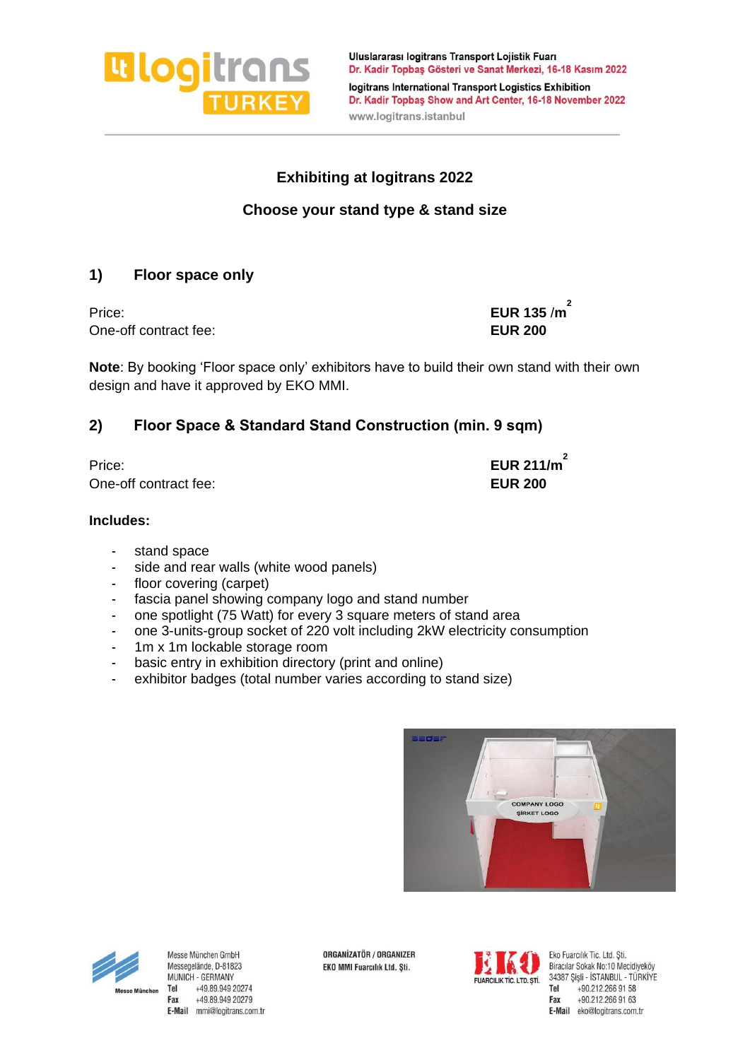

Uluslararası logitrans Transport Lojistik Fuarı Dr. Kadir Topbaş Gösteri ve Sanat Merkezi, 16-18 Kasım 2022 logitrans International Transport Logistics Exhibition Dr. Kadir Topbaş Show and Art Center, 16-18 November 2022 www.logitrans.istanbul

## **Exhibiting at logitrans 2022**

## **Choose your stand type & stand size**

## **1) Floor space only**

One-off contract fee: **EUR 200** 

Price: **EUR 135** /**m 2**

**Note**: By booking 'Floor space only' exhibitors have to build their own stand with their own design and have it approved by EKO MMI.

## **2) Floor Space & Standard Stand Construction (min. 9 sqm)**

Price: **EUR 211/m 2** One-off contract fee: **EUR 200**

#### **Includes:**

- stand space
- side and rear walls (white wood panels)
- floor covering (carpet)
- fascia panel showing company logo and stand number
- one spotlight (75 Watt) for every 3 square meters of stand area
- one 3-units-group socket of 220 volt including 2kW electricity consumption
- 1m x 1m lockable storage room
- basic entry in exhibition directory (print and online)
- exhibitor badges (total number varies according to stand size)





Messe München GmbH Messegelände, D-81823 MUNICH - GERMANY Tel +49.89.949 20274 Fax +49.89.949 20279 E-Mail mmi@logitrans.com.tr ORGANİZATÖR / ORGANIZER EKO MMI Fuarcılık Ltd. Şti.



Eko Fuarcilik Tic. Ltd. Sti. Biracılar Sokak No:10 Mecidiveköv 34387 Şişli - İSTANBUL - TÜRKİYE Tel +90.212.266 91 58 Fax +90.212.266 91 63 E-Mail eko@logitrans.com.tr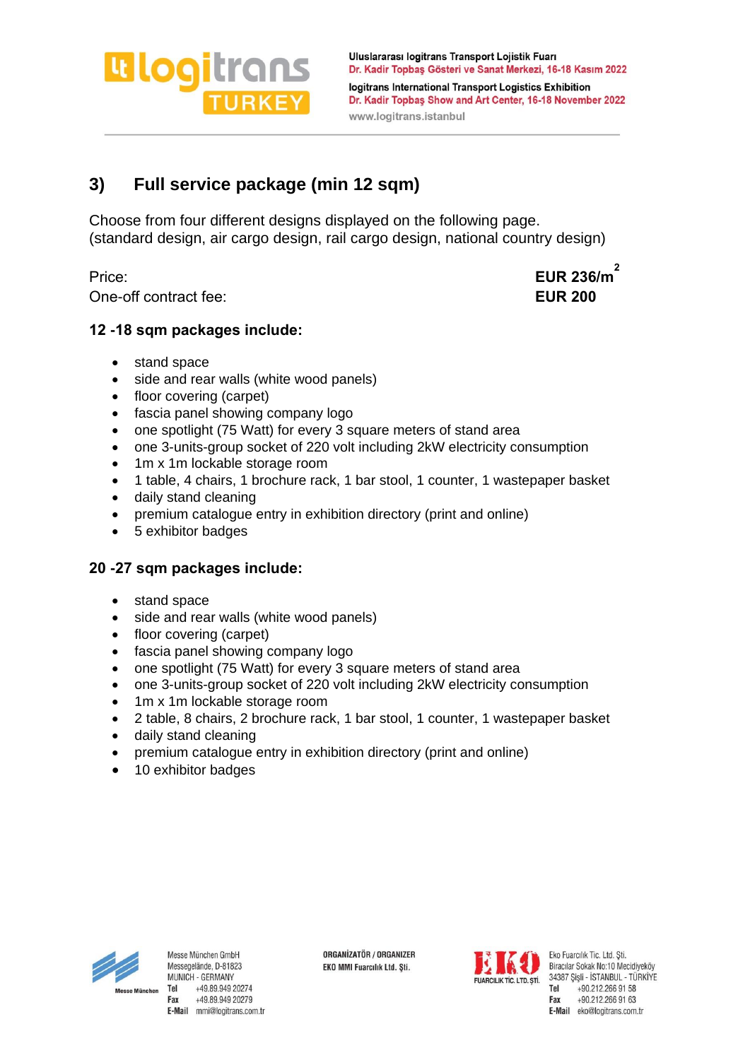**Wlogitrans** 

Uluslararası logitrans Transport Lojistik Fuarı Dr. Kadir Topbaş Gösteri ve Sanat Merkezi, 16-18 Kasım 2022 logitrans International Transport Logistics Exhibition Dr. Kadir Topbaş Show and Art Center, 16-18 November 2022 www.logitrans.istanbul

# **3) Full service package (min 12 sqm)**

Choose from four different designs displayed on the following page. (standard design, air cargo design, rail cargo design, national country design)

One-off contract fee: **EUR 200**

Price: **EUR 236/m 2**

## **12 -18 sqm packages include:**

- stand space
- side and rear walls (white wood panels)
- floor covering (carpet)
- fascia panel showing company logo
- one spotlight (75 Watt) for every 3 square meters of stand area
- one 3-units-group socket of 220 volt including 2kW electricity consumption
- 1m x 1m lockable storage room
- 1 table, 4 chairs, 1 brochure rack, 1 bar stool, 1 counter, 1 wastepaper basket
- daily stand cleaning
- premium catalogue entry in exhibition directory (print and online)
- 5 exhibitor badges

## **20 -27 sqm packages include:**

- stand space
- side and rear walls (white wood panels)
- floor covering (carpet)
- fascia panel showing company logo
- one spotlight (75 Watt) for every 3 square meters of stand area
- one 3-units-group socket of 220 volt including 2kW electricity consumption
- 1m x 1m lockable storage room
- 2 table, 8 chairs, 2 brochure rack, 1 bar stool, 1 counter, 1 wastepaper basket
- daily stand cleaning
- premium catalogue entry in exhibition directory (print and online)
- 10 exhibitor badges



Messe München GmbH Messegelände, D-81823 MUNICH - GERMANY +49.89.949 20274 Tel Fax +49.89.949 20279 E-Mail mmi@logitrans.com.tr ORGANIZATÖR / ORGANIZER EKO MMI Fuarcılık Ltd. Şti.



Eko Fuarcilik Tic. Ltd. Sti. Biracılar Sokak No:10 Mecidiveköv 34387 Şişli - İSTANBUL - TÜRKİYE Tel +90.212.266 91 58 Fax +90.212.266 91 63 E-Mail eko@logitrans.com.tr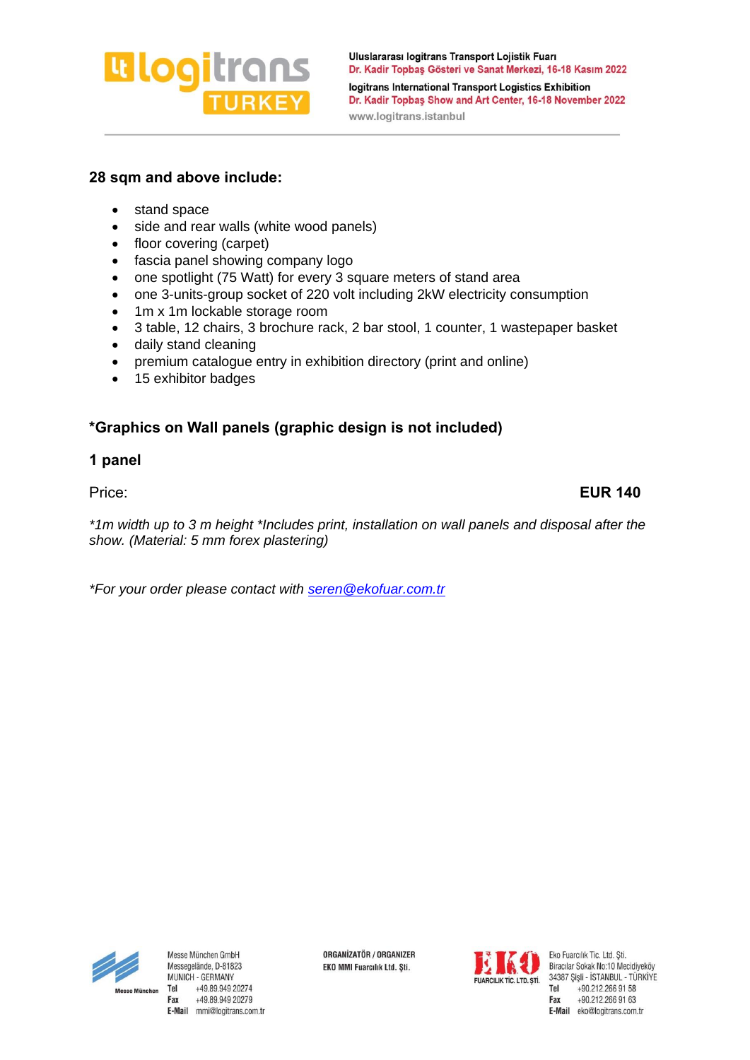# **Lilogi**trans

Uluslararası logitrans Transport Lojistik Fuarı Dr. Kadir Topbaş Gösteri ve Sanat Merkezi, 16-18 Kasım 2022 logitrans International Transport Logistics Exhibition Dr. Kadir Topbaş Show and Art Center, 16-18 November 2022 www.logitrans.istanbul

## **28 sqm and above include:**

- stand space
- side and rear walls (white wood panels)
- floor covering (carpet)
- fascia panel showing company logo
- one spotlight (75 Watt) for every 3 square meters of stand area
- one 3-units-group socket of 220 volt including 2kW electricity consumption
- 1m x 1m lockable storage room
- 3 table, 12 chairs, 3 brochure rack, 2 bar stool, 1 counter, 1 wastepaper basket
- daily stand cleaning
- premium catalogue entry in exhibition directory (print and online)
- 15 exhibitor badges

## **\*Graphics on Wall panels (graphic design is not included)**

#### **1 panel**

*\*1m width up to 3 m height \*Includes print, installation on wall panels and disposal after the show. (Material: 5 mm forex plastering)*

*\*For your order please contact with [seren@ekofuar.com.tr](mailto:seren@ekofuar.com.tr)*



Messe München GmbH Messegelände, D-81823 MUNICH - GERMANY +49.89.949 20274 Tel Fax +49.89.949 20279 E-Mail mmi@logitrans.com.tr ORGANIZATÖR / ORGANIZER EKO MMI Fuarcılık Ltd. Şti.



Eko Fuarcilik Tic, Ltd, Sti. Biracılar Sokak No:10 Mecidiyeköy 34387 Şişli - İSTANBUL - TÜRKİYE Tel +90.212.266 91 58 Fax +90.212.266 91 63 E-Mail eko@logitrans.com.tr

Price: **EUR 140**